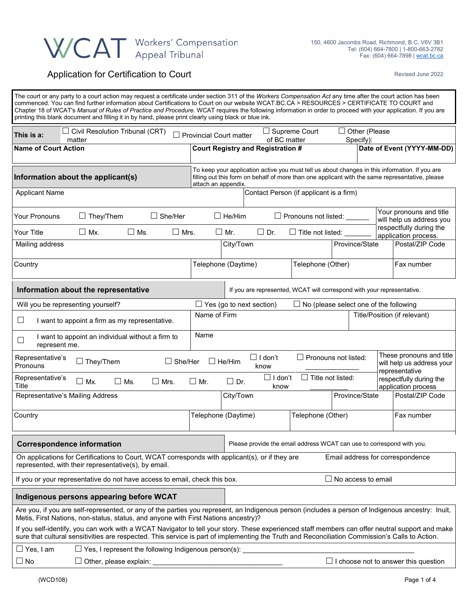## WCAT Workers' Compensation

## Application for Certification to Court **Application** Fevised June 2022

| The court or any party to a court action may request a certificate under section 311 of the Workers Compensation Act any time after the court action has been<br>commenced. You can find further information about Certifications to Court on our website WCAT.BC.CA > RESOURCES > CERTIFICATE TO COURT and<br>Chapter 18 of WCAT's Manual of Rules of Practice and Procedure. WCAT requires the following information in order to proceed with your application. If you are<br>printing this blank document and filling it in by hand, please print clearly using black or blue ink. |                                |                                                                        |                           |                                               |                           |               |                                                                                                                                                                                                   |
|---------------------------------------------------------------------------------------------------------------------------------------------------------------------------------------------------------------------------------------------------------------------------------------------------------------------------------------------------------------------------------------------------------------------------------------------------------------------------------------------------------------------------------------------------------------------------------------|--------------------------------|------------------------------------------------------------------------|---------------------------|-----------------------------------------------|---------------------------|---------------|---------------------------------------------------------------------------------------------------------------------------------------------------------------------------------------------------|
| $\Box$ Civil Resolution Tribunal (CRT)<br>This is a:<br>matter                                                                                                                                                                                                                                                                                                                                                                                                                                                                                                                        | $\Box$ Provincial Court matter |                                                                        | of BC matter              | $\Box$ Supreme Court                          | Specify):                 | Other (Please |                                                                                                                                                                                                   |
| <b>Name of Court Action</b>                                                                                                                                                                                                                                                                                                                                                                                                                                                                                                                                                           |                                | <b>Court Registry and Registration #</b>                               |                           |                                               |                           |               | Date of Event (YYYY-MM-DD)                                                                                                                                                                        |
| Information about the applicant(s)                                                                                                                                                                                                                                                                                                                                                                                                                                                                                                                                                    | attach an appendix.            |                                                                        |                           |                                               |                           |               | To keep your application active you must tell us about changes in this information. If you are<br>filling out this form on behalf of more than one applicant with the same representative, please |
| <b>Applicant Name</b>                                                                                                                                                                                                                                                                                                                                                                                                                                                                                                                                                                 |                                |                                                                        |                           | Contact Person (if applicant is a firm)       |                           |               |                                                                                                                                                                                                   |
| They/Them<br>$\Box$ She/Her<br>Your Pronouns                                                                                                                                                                                                                                                                                                                                                                                                                                                                                                                                          |                                | $\Box$ He/Him                                                          |                           | $\Box$ Pronouns not listed:                   |                           |               | Your pronouns and title<br>will help us address you                                                                                                                                               |
| Your Title<br>$\Box$ Mx.<br>$\square$ Ms.<br>$\Box$ Mrs.                                                                                                                                                                                                                                                                                                                                                                                                                                                                                                                              | $\Box$ Mr.                     | $\Box$ Dr.                                                             |                           | $\Box$ Title not listed:                      |                           |               | respectfully during the<br>application process.                                                                                                                                                   |
| Mailing address                                                                                                                                                                                                                                                                                                                                                                                                                                                                                                                                                                       |                                | City/Town                                                              |                           |                                               | Province/State            |               | Postal/ZIP Code                                                                                                                                                                                   |
| Country                                                                                                                                                                                                                                                                                                                                                                                                                                                                                                                                                                               | Telephone (Daytime)            |                                                                        |                           | Telephone (Other)                             |                           |               | Fax number                                                                                                                                                                                        |
| Information about the representative                                                                                                                                                                                                                                                                                                                                                                                                                                                                                                                                                  |                                | If you are represented, WCAT will correspond with your representative. |                           |                                               |                           |               |                                                                                                                                                                                                   |
| Will you be representing yourself?                                                                                                                                                                                                                                                                                                                                                                                                                                                                                                                                                    |                                | $\Box$ Yes (go to next section)                                        |                           | $\Box$ No (please select one of the following |                           |               |                                                                                                                                                                                                   |
| ⊔<br>I want to appoint a firm as my representative.                                                                                                                                                                                                                                                                                                                                                                                                                                                                                                                                   | Name of Firm                   |                                                                        |                           |                                               |                           |               | Title/Position (if relevant)                                                                                                                                                                      |
| I want to appoint an individual without a firm to<br>$\Box$<br>represent me.                                                                                                                                                                                                                                                                                                                                                                                                                                                                                                          | Name                           |                                                                        |                           |                                               |                           |               |                                                                                                                                                                                                   |
| These pronouns and title<br>$\Box$ Pronouns not listed:<br>$\Box$ I don't<br>Representative's<br>$\Box$ They/Them<br>$\Box$ She/Her<br>$\Box$ He/Him<br>will help us address your<br>Pronouns<br>know                                                                                                                                                                                                                                                                                                                                                                                 |                                |                                                                        |                           |                                               |                           |               |                                                                                                                                                                                                   |
| Representative's<br>$\Box$ Mx.<br>$\Box$ Mrs.<br>$\Box$ Ms.<br>Title                                                                                                                                                                                                                                                                                                                                                                                                                                                                                                                  | $\Box$ Mr.                     | $\Box$ Dr.                                                             | $\square$ I don't<br>know | $\Box$ Title not listed:                      |                           |               | representative<br>respectfully during the<br>application process                                                                                                                                  |
| Representative's Mailing Address                                                                                                                                                                                                                                                                                                                                                                                                                                                                                                                                                      |                                | City/Town                                                              |                           |                                               | Province/State            |               | Postal/ZIP Code                                                                                                                                                                                   |
| Country                                                                                                                                                                                                                                                                                                                                                                                                                                                                                                                                                                               | Telephone (Daytime)            |                                                                        |                           | Telephone (Other)                             |                           |               | Fax number                                                                                                                                                                                        |
| <b>Correspondence information</b><br>Please provide the email address WCAT can use to correspond with you.                                                                                                                                                                                                                                                                                                                                                                                                                                                                            |                                |                                                                        |                           |                                               |                           |               |                                                                                                                                                                                                   |
| On applications for Certifications to Court, WCAT corresponds with applicant(s), or if they are<br>represented, with their representative(s), by email.                                                                                                                                                                                                                                                                                                                                                                                                                               |                                |                                                                        |                           |                                               |                           |               | Email address for correspondence                                                                                                                                                                  |
| If you or your representative do not have access to email, check this box.                                                                                                                                                                                                                                                                                                                                                                                                                                                                                                            |                                |                                                                        |                           |                                               | $\Box$ No access to email |               |                                                                                                                                                                                                   |
| Indigenous persons appearing before WCAT                                                                                                                                                                                                                                                                                                                                                                                                                                                                                                                                              |                                |                                                                        |                           |                                               |                           |               |                                                                                                                                                                                                   |
| Are you, if you are self-represented, or any of the parties you represent, an Indigenous person (includes a person of Indigenous ancestry: Inuit,<br>Metis, First Nations, non-status, status, and anyone with First Nations ancestry)?                                                                                                                                                                                                                                                                                                                                               |                                |                                                                        |                           |                                               |                           |               |                                                                                                                                                                                                   |
| If you self-identify, you can work with a WCAT Navigator to tell your story. These experienced staff members can offer neutral support and make<br>sure that cultural sensitivities are respected. This service is part of implementing the Truth and Reconciliation Commission's Calls to Action.                                                                                                                                                                                                                                                                                    |                                |                                                                        |                           |                                               |                           |               |                                                                                                                                                                                                   |
| $\Box$ Yes, I am<br>$\Box$ Yes, I represent the following Indigenous person(s): $\Box$                                                                                                                                                                                                                                                                                                                                                                                                                                                                                                |                                |                                                                        |                           |                                               |                           |               |                                                                                                                                                                                                   |
| $\Box$ No                                                                                                                                                                                                                                                                                                                                                                                                                                                                                                                                                                             |                                |                                                                        |                           |                                               |                           |               | $\Box$ I choose not to answer this question                                                                                                                                                       |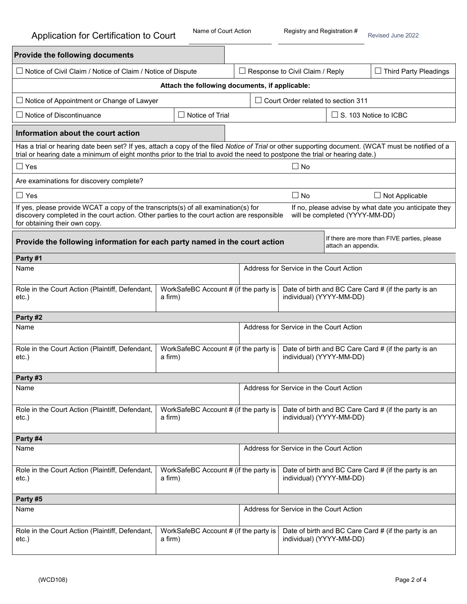| <b>Provide the following documents</b>                                                                                                                                                                                                                                             |                                                  |  |                                                                                  |                                                                                  |                                |                                                       |  |
|------------------------------------------------------------------------------------------------------------------------------------------------------------------------------------------------------------------------------------------------------------------------------------|--------------------------------------------------|--|----------------------------------------------------------------------------------|----------------------------------------------------------------------------------|--------------------------------|-------------------------------------------------------|--|
| □ Notice of Civil Claim / Notice of Claim / Notice of Dispute                                                                                                                                                                                                                      |                                                  |  |                                                                                  | $\Box$ Response to Civil Claim / Reply                                           |                                | $\Box$ Third Party Pleadings                          |  |
|                                                                                                                                                                                                                                                                                    | Attach the following documents, if applicable:   |  |                                                                                  |                                                                                  |                                |                                                       |  |
| $\Box$ Notice of Appointment or Change of Lawyer                                                                                                                                                                                                                                   |                                                  |  |                                                                                  | $\Box$ Court Order related to section 311                                        |                                |                                                       |  |
| $\Box$ Notice of Discontinuance                                                                                                                                                                                                                                                    | $\Box$ Notice of Trial                           |  |                                                                                  |                                                                                  | $\Box$ S. 103 Notice to ICBC   |                                                       |  |
| Information about the court action                                                                                                                                                                                                                                                 |                                                  |  |                                                                                  |                                                                                  |                                |                                                       |  |
| Has a trial or hearing date been set? If yes, attach a copy of the filed Notice of Trial or other supporting document. (WCAT must be notified of a<br>trial or hearing date a minimum of eight months prior to the trial to avoid the need to postpone the trial or hearing date.) |                                                  |  |                                                                                  |                                                                                  |                                |                                                       |  |
| $\Box$ Yes                                                                                                                                                                                                                                                                         |                                                  |  |                                                                                  | $\Box$ No                                                                        |                                |                                                       |  |
| Are examinations for discovery complete?                                                                                                                                                                                                                                           |                                                  |  |                                                                                  |                                                                                  |                                |                                                       |  |
| $\Box$ Yes                                                                                                                                                                                                                                                                         |                                                  |  |                                                                                  | $\Box$ No                                                                        |                                | $\Box$ Not Applicable                                 |  |
| If yes, please provide WCAT a copy of the transcripts(s) of all examination(s) for<br>discovery completed in the court action. Other parties to the court action are responsible<br>for obtaining their own copy.                                                                  |                                                  |  |                                                                                  |                                                                                  | will be completed (YYYY-MM-DD) | If no, please advise by what date you anticipate they |  |
| Provide the following information for each party named in the court action                                                                                                                                                                                                         |                                                  |  |                                                                                  |                                                                                  | attach an appendix.            | If there are more than FIVE parties, please           |  |
| Party #1                                                                                                                                                                                                                                                                           |                                                  |  |                                                                                  |                                                                                  |                                |                                                       |  |
| Address for Service in the Court Action<br>Name                                                                                                                                                                                                                                    |                                                  |  |                                                                                  |                                                                                  |                                |                                                       |  |
| Role in the Court Action (Plaintiff, Defendant,<br>$etc.$ )                                                                                                                                                                                                                        | WorkSafeBC Account # (if the party is<br>a firm) |  |                                                                                  | Date of birth and BC Care Card # (if the party is an<br>individual) (YYYY-MM-DD) |                                |                                                       |  |
| Party #2                                                                                                                                                                                                                                                                           |                                                  |  |                                                                                  |                                                                                  |                                |                                                       |  |
| Name                                                                                                                                                                                                                                                                               |                                                  |  |                                                                                  | Address for Service in the Court Action                                          |                                |                                                       |  |
| Role in the Court Action (Plaintiff, Defendant,<br>WorkSafeBC Account # (if the party is<br>$etc.$ )<br>a firm)                                                                                                                                                                    |                                                  |  |                                                                                  | Date of birth and BC Care Card # (if the party is an<br>individual) (YYYY-MM-DD) |                                |                                                       |  |
| Party #3                                                                                                                                                                                                                                                                           |                                                  |  |                                                                                  |                                                                                  |                                |                                                       |  |
| Name                                                                                                                                                                                                                                                                               |                                                  |  |                                                                                  | Address for Service in the Court Action                                          |                                |                                                       |  |
| Role in the Court Action (Plaintiff, Defendant,<br>$etc.$ )                                                                                                                                                                                                                        | WorkSafeBC Account # (if the party is<br>a firm) |  | Date of birth and BC Care Card # (if the party is an<br>individual) (YYYY-MM-DD) |                                                                                  |                                |                                                       |  |
| Party #4                                                                                                                                                                                                                                                                           |                                                  |  |                                                                                  |                                                                                  |                                |                                                       |  |
| Address for Service in the Court Action<br>Name                                                                                                                                                                                                                                    |                                                  |  |                                                                                  |                                                                                  |                                |                                                       |  |
| Role in the Court Action (Plaintiff, Defendant,<br>$etc.$ )                                                                                                                                                                                                                        | WorkSafeBC Account # (if the party is<br>a firm) |  |                                                                                  | individual) (YYYY-MM-DD)                                                         |                                | Date of birth and BC Care Card # (if the party is an  |  |
| Party #5                                                                                                                                                                                                                                                                           |                                                  |  |                                                                                  |                                                                                  |                                |                                                       |  |
| Name                                                                                                                                                                                                                                                                               |                                                  |  |                                                                                  | Address for Service in the Court Action                                          |                                |                                                       |  |
| Role in the Court Action (Plaintiff, Defendant,<br>$etc.$ )                                                                                                                                                                                                                        | WorkSafeBC Account # (if the party is<br>a firm) |  |                                                                                  | individual) (YYYY-MM-DD)                                                         |                                | Date of birth and BC Care Card # (if the party is an  |  |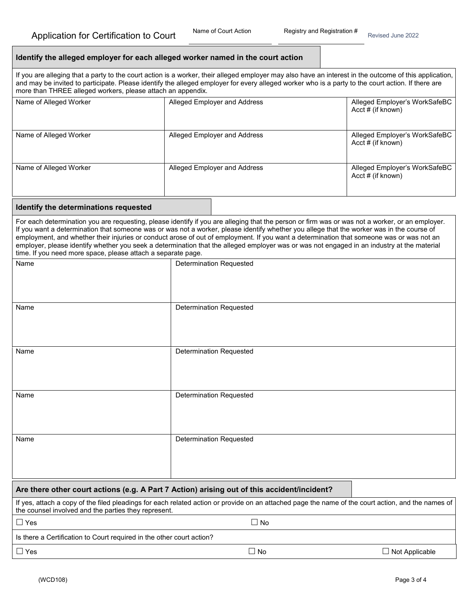|  |  |  | Identify the alleged employer for each alleged worker named in the court action |
|--|--|--|---------------------------------------------------------------------------------|
|--|--|--|---------------------------------------------------------------------------------|

If you are alleging that a party to the court action is a worker, their alleged employer may also have an interest in the outcome of this application, and may be invited to participate. Please identify the alleged employer for every alleged worker who is a party to the court action. If there are more than THREE alleged workers, please attach an appendix.

| Name of Alleged Worker | Alleged Employer and Address | Alleged Employer's WorkSafeBC<br>Acct # (if known)    |
|------------------------|------------------------------|-------------------------------------------------------|
| Name of Alleged Worker | Alleged Employer and Address | Alleged Employer's WorkSafeBC<br>$Acct \# (if known)$ |
| Name of Alleged Worker | Alleged Employer and Address | Alleged Employer's WorkSafeBC<br>$Acct \# (if known)$ |

## **Identify the determinations requested**

For each determination you are requesting, please identify if you are alleging that the person or firm was or was not a worker, or an employer. If you want a determination that someone was or was not a worker, please identify whether you allege that the worker was in the course of employment, and whether their injuries or conduct arose of out of employment. If you want a determination that someone was or was not an employer, please identify whether you seek a determination that the alleged employer was or was not engaged in an industry at the material time. If you need more space, please attach a separate page.

| Name                                                                                                                                               | <b>Determination Requested</b> |  |  |
|----------------------------------------------------------------------------------------------------------------------------------------------------|--------------------------------|--|--|
|                                                                                                                                                    |                                |  |  |
| Name                                                                                                                                               | <b>Determination Requested</b> |  |  |
|                                                                                                                                                    |                                |  |  |
|                                                                                                                                                    |                                |  |  |
|                                                                                                                                                    |                                |  |  |
| Name                                                                                                                                               | <b>Determination Requested</b> |  |  |
|                                                                                                                                                    |                                |  |  |
|                                                                                                                                                    |                                |  |  |
| Name                                                                                                                                               | <b>Determination Requested</b> |  |  |
|                                                                                                                                                    |                                |  |  |
|                                                                                                                                                    |                                |  |  |
|                                                                                                                                                    |                                |  |  |
| Name                                                                                                                                               | <b>Determination Requested</b> |  |  |
|                                                                                                                                                    |                                |  |  |
|                                                                                                                                                    |                                |  |  |
|                                                                                                                                                    |                                |  |  |
| Are there other court actions (e.g. A Part 7 Action) arising out of this accident/incident?                                                        |                                |  |  |
| If yes, attach a copy of the filed pleadings for each related action or provide on an attached page the name of the court action, and the names of |                                |  |  |

| If yes, attach a copy of the filed pleadings for each related action or provide on an attached page the name of the court a |  |
|-----------------------------------------------------------------------------------------------------------------------------|--|
| the counsel involved and the parties they represent.                                                                        |  |

| $\Box$ Yes | $\Box$ No |
|------------|-----------|
|            |           |

| Is there a Certification to Court required in the other court action? |     |                |
|-----------------------------------------------------------------------|-----|----------------|
| $\bigcap$ Yes                                                         | Nc. | Not Applicable |